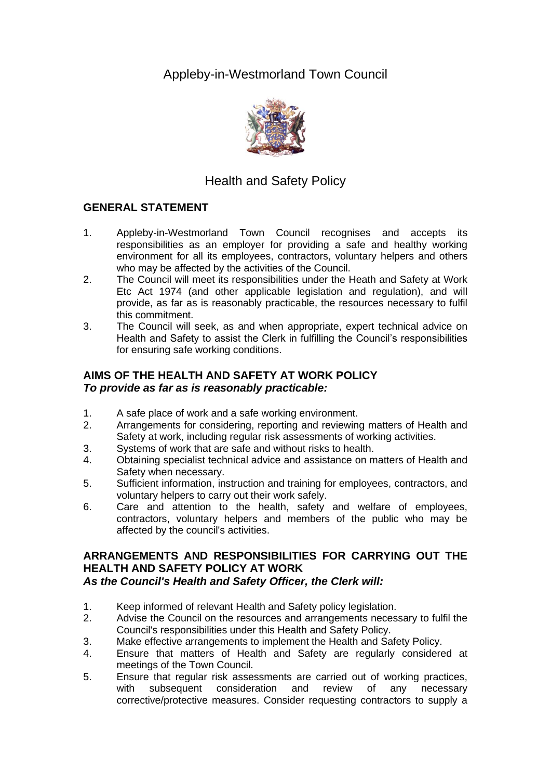Appleby-in-Westmorland Town Council



# Health and Safety Policy

## **GENERAL STATEMENT**

- 1. Appleby-in-Westmorland Town Council recognises and accepts its responsibilities as an employer for providing a safe and healthy working environment for all its employees, contractors, voluntary helpers and others who may be affected by the activities of the Council.
- 2. The Council will meet its responsibilities under the Heath and Safety at Work Etc Act 1974 (and other applicable legislation and regulation), and will provide, as far as is reasonably practicable, the resources necessary to fulfil this commitment.
- 3. The Council will seek, as and when appropriate, expert technical advice on Health and Safety to assist the Clerk in fulfilling the Council's responsibilities for ensuring safe working conditions.

### **AIMS OF THE HEALTH AND SAFETY AT WORK POLICY** *To provide as far as is reasonably practicable:*

- 1. A safe place of work and a safe working environment.
- 2. Arrangements for considering, reporting and reviewing matters of Health and Safety at work, including regular risk assessments of working activities.
- 3. Systems of work that are safe and without risks to health.
- 4. Obtaining specialist technical advice and assistance on matters of Health and Safety when necessary.
- 5. Sufficient information, instruction and training for employees, contractors, and voluntary helpers to carry out their work safely.
- 6. Care and attention to the health, safety and welfare of employees, contractors, voluntary helpers and members of the public who may be affected by the council's activities.

## **ARRANGEMENTS AND RESPONSIBILITIES FOR CARRYING OUT THE HEALTH AND SAFETY POLICY AT WORK**

## *As the Council's Health and Safety Officer, the Clerk will:*

- 1. Keep informed of relevant Health and Safety policy legislation.
- 2. Advise the Council on the resources and arrangements necessary to fulfil the Council's responsibilities under this Health and Safety Policy.
- 3. Make effective arrangements to implement the Health and Safety Policy.
- 4. Ensure that matters of Health and Safety are regularly considered at meetings of the Town Council.
- 5. Ensure that regular risk assessments are carried out of working practices, with subsequent consideration and review of any necessary corrective/protective measures. Consider requesting contractors to supply a